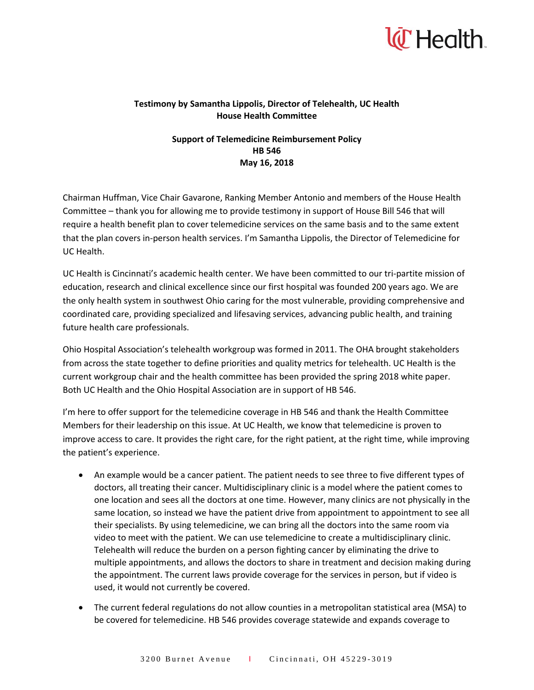

## **Testimony by Samantha Lippolis, Director of Telehealth, UC Health House Health Committee**

## **Support of Telemedicine Reimbursement Policy HB 546 May 16, 2018**

Chairman Huffman, Vice Chair Gavarone, Ranking Member Antonio and members of the House Health Committee – thank you for allowing me to provide testimony in support of House Bill 546 that will require a health benefit plan to cover telemedicine services on the same basis and to the same extent that the plan covers in-person health services. I'm Samantha Lippolis, the Director of Telemedicine for UC Health.

UC Health is Cincinnati's academic health center. We have been committed to our tri-partite mission of education, research and clinical excellence since our first hospital was founded 200 years ago. We are the only health system in southwest Ohio caring for the most vulnerable, providing comprehensive and coordinated care, providing specialized and lifesaving services, advancing public health, and training future health care professionals.

Ohio Hospital Association's telehealth workgroup was formed in 2011. The OHA brought stakeholders from across the state together to define priorities and quality metrics for telehealth. UC Health is the current workgroup chair and the health committee has been provided the spring 2018 white paper. Both UC Health and the Ohio Hospital Association are in support of HB 546.

I'm here to offer support for the telemedicine coverage in HB 546 and thank the Health Committee Members for their leadership on this issue. At UC Health, we know that telemedicine is proven to improve access to care. It provides the right care, for the right patient, at the right time, while improving the patient's experience.

- An example would be a cancer patient. The patient needs to see three to five different types of doctors, all treating their cancer. Multidisciplinary clinic is a model where the patient comes to one location and sees all the doctors at one time. However, many clinics are not physically in the same location, so instead we have the patient drive from appointment to appointment to see all their specialists. By using telemedicine, we can bring all the doctors into the same room via video to meet with the patient. We can use telemedicine to create a multidisciplinary clinic. Telehealth will reduce the burden on a person fighting cancer by eliminating the drive to multiple appointments, and allows the doctors to share in treatment and decision making during the appointment. The current laws provide coverage for the services in person, but if video is used, it would not currently be covered.
- The current federal regulations do not allow counties in a metropolitan statistical area (MSA) to be covered for telemedicine. HB 546 provides coverage statewide and expands coverage to